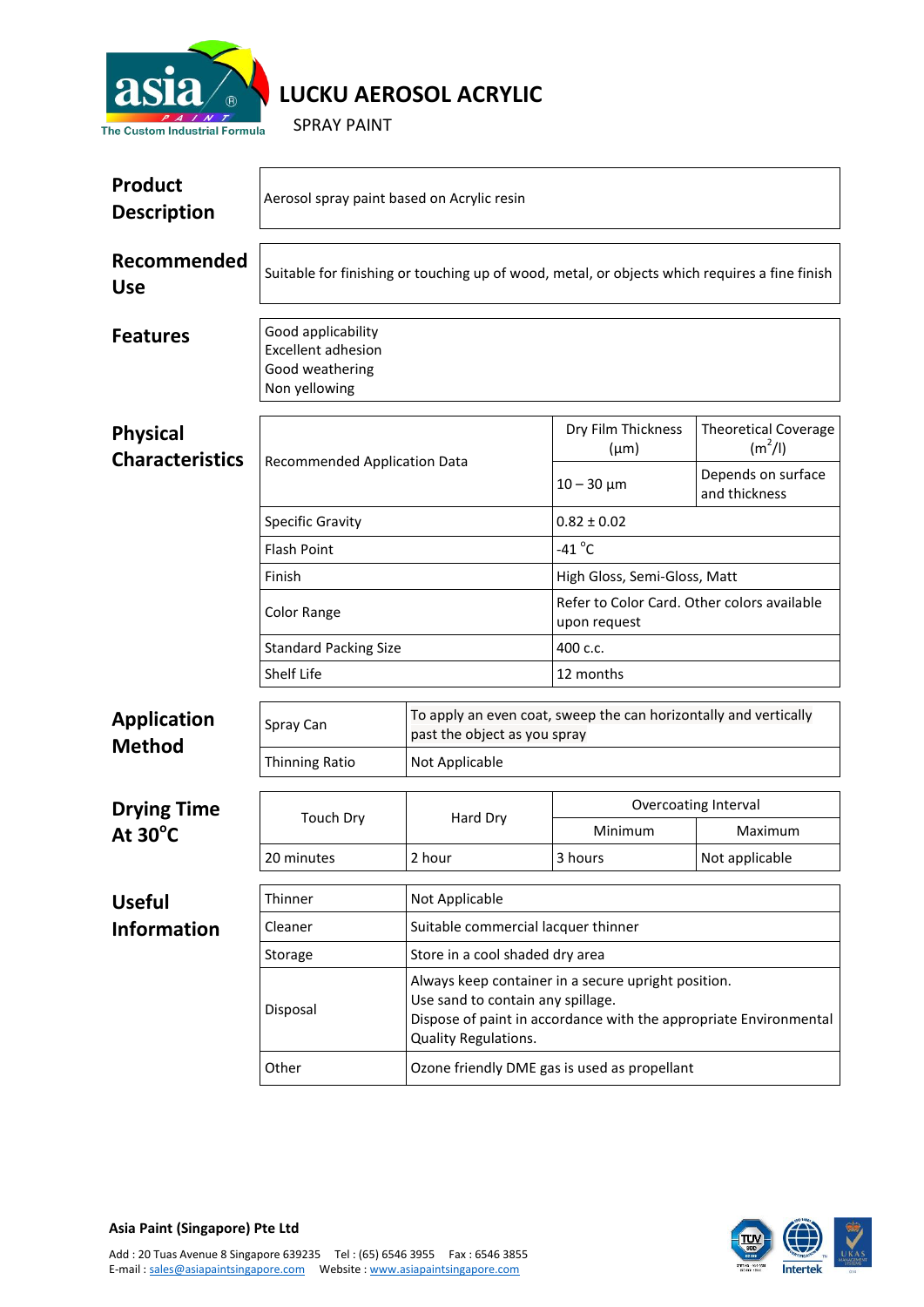

## **LUCKU AEROSOL ACRYLIC**

SPRAY PAINT

| <b>Product</b><br><b>Description</b>      | Aerosol spray paint based on Acrylic resin                                                    |                                                                                                                                                                                       |                                                             |                                          |  |
|-------------------------------------------|-----------------------------------------------------------------------------------------------|---------------------------------------------------------------------------------------------------------------------------------------------------------------------------------------|-------------------------------------------------------------|------------------------------------------|--|
| Recommended<br><b>Use</b>                 | Suitable for finishing or touching up of wood, metal, or objects which requires a fine finish |                                                                                                                                                                                       |                                                             |                                          |  |
| <b>Features</b>                           | Good applicability<br><b>Excellent adhesion</b><br>Good weathering<br>Non yellowing           |                                                                                                                                                                                       |                                                             |                                          |  |
| <b>Physical</b><br><b>Characteristics</b> | Recommended Application Data<br><b>Specific Gravity</b>                                       |                                                                                                                                                                                       | Dry Film Thickness<br>$(\mu m)$                             | <b>Theoretical Coverage</b><br>$(m^2/l)$ |  |
|                                           |                                                                                               |                                                                                                                                                                                       | $10 - 30 \mu m$                                             | Depends on surface<br>and thickness      |  |
|                                           |                                                                                               |                                                                                                                                                                                       | $0.82 \pm 0.02$                                             |                                          |  |
|                                           | <b>Flash Point</b>                                                                            |                                                                                                                                                                                       | $-41^{\circ}$ C                                             |                                          |  |
|                                           | Finish                                                                                        |                                                                                                                                                                                       | High Gloss, Semi-Gloss, Matt                                |                                          |  |
|                                           | <b>Color Range</b>                                                                            |                                                                                                                                                                                       | Refer to Color Card. Other colors available<br>upon request |                                          |  |
|                                           | <b>Standard Packing Size</b>                                                                  |                                                                                                                                                                                       | 400 c.c.                                                    |                                          |  |
|                                           | Shelf Life                                                                                    |                                                                                                                                                                                       | 12 months                                                   |                                          |  |
| <b>Application</b><br><b>Method</b>       | Spray Can                                                                                     | To apply an even coat, sweep the can horizontally and vertically<br>past the object as you spray                                                                                      |                                                             |                                          |  |
|                                           | <b>Thinning Ratio</b>                                                                         | Not Applicable                                                                                                                                                                        |                                                             |                                          |  |
|                                           |                                                                                               | Overcoating Interval                                                                                                                                                                  |                                                             |                                          |  |
| <b>Drying Time</b><br>At $30^{\circ}$ C   | <b>Touch Dry</b>                                                                              | Hard Dry                                                                                                                                                                              | Minimum                                                     | Maximum                                  |  |
|                                           | 20 minutes                                                                                    | 2 hour                                                                                                                                                                                | 3 hours                                                     | Not applicable                           |  |
|                                           |                                                                                               |                                                                                                                                                                                       |                                                             |                                          |  |
| <b>Useful</b>                             | Thinner<br>Not Applicable                                                                     |                                                                                                                                                                                       |                                                             |                                          |  |
| <b>Information</b>                        | Cleaner                                                                                       | Suitable commercial lacquer thinner                                                                                                                                                   |                                                             |                                          |  |
|                                           | Storage                                                                                       | Store in a cool shaded dry area                                                                                                                                                       |                                                             |                                          |  |
|                                           | Disposal                                                                                      | Always keep container in a secure upright position.<br>Use sand to contain any spillage.<br>Dispose of paint in accordance with the appropriate Environmental<br>Quality Regulations. |                                                             |                                          |  |
|                                           | Ozone friendly DME gas is used as propellant<br>Other                                         |                                                                                                                                                                                       |                                                             |                                          |  |